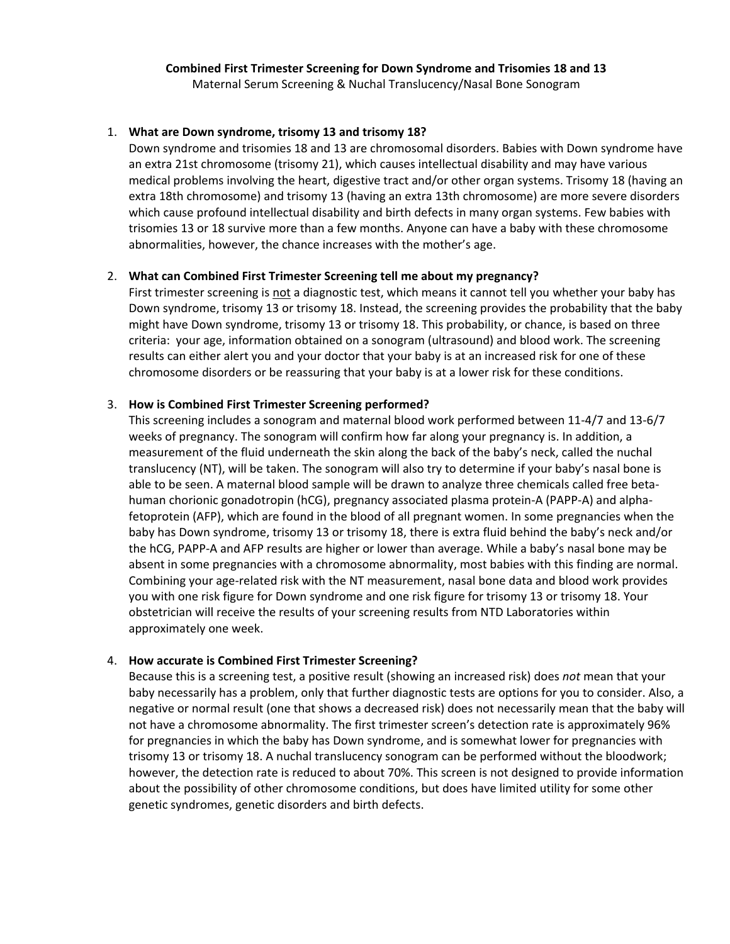# **Combined First Trimester Screening for Down Syndrome and Trisomies 18 and 13**

Maternal Serum Screening & Nuchal Translucency/Nasal Bone Sonogram

### 1. **What are Down syndrome, trisomy 13 and trisomy 18?**

Down syndrome and trisomies 18 and 13 are chromosomal disorders. Babies with Down syndrome have an extra 21st chromosome (trisomy 21), which causes intellectual disability and may have various medical problems involving the heart, digestive tract and/or other organ systems. Trisomy 18 (having an extra 18th chromosome) and trisomy 13 (having an extra 13th chromosome) are more severe disorders which cause profound intellectual disability and birth defects in many organ systems. Few babies with trisomies 13 or 18 survive more than a few months. Anyone can have a baby with these chromosome abnormalities, however, the chance increases with the mother's age.

## 2. **What can Combined First Trimester Screening tell me about my pregnancy?**

First trimester screening is not a diagnostic test, which means it cannot tell you whether your baby has Down syndrome, trisomy 13 or trisomy 18. Instead, the screening provides the probability that the baby might have Down syndrome, trisomy 13 or trisomy 18. This probability, or chance, is based on three criteria: your age, information obtained on a sonogram (ultrasound) and blood work. The screening results can either alert you and your doctor that your baby is at an increased risk for one of these chromosome disorders or be reassuring that your baby is at a lower risk for these conditions.

## 3. **How is Combined First Trimester Screening performed?**

This screening includes a sonogram and maternal blood work performed between 11-4/7 and 13-6/7 weeks of pregnancy. The sonogram will confirm how far along your pregnancy is. In addition, a measurement of the fluid underneath the skin along the back of the baby's neck, called the nuchal translucency (NT), will be taken. The sonogram will also try to determine if your baby's nasal bone is able to be seen. A maternal blood sample will be drawn to analyze three chemicals called free betahuman chorionic gonadotropin (hCG), pregnancy associated plasma protein-A (PAPP-A) and alphafetoprotein (AFP), which are found in the blood of all pregnant women. In some pregnancies when the baby has Down syndrome, trisomy 13 or trisomy 18, there is extra fluid behind the baby's neck and/or the hCG, PAPP-A and AFP results are higher or lower than average. While a baby's nasal bone may be absent in some pregnancies with a chromosome abnormality, most babies with this finding are normal. Combining your age-related risk with the NT measurement, nasal bone data and blood work provides you with one risk figure for Down syndrome and one risk figure for trisomy 13 or trisomy 18. Your obstetrician will receive the results of your screening results from NTD Laboratories within approximately one week.

### 4. **How accurate is Combined First Trimester Screening?**

Because this is a screening test, a positive result (showing an increased risk) does *not* mean that your baby necessarily has a problem, only that further diagnostic tests are options for you to consider. Also, a negative or normal result (one that shows a decreased risk) does not necessarily mean that the baby will not have a chromosome abnormality. The first trimester screen's detection rate is approximately 96% for pregnancies in which the baby has Down syndrome, and is somewhat lower for pregnancies with trisomy 13 or trisomy 18. A nuchal translucency sonogram can be performed without the bloodwork; however, the detection rate is reduced to about 70%. This screen is not designed to provide information about the possibility of other chromosome conditions, but does have limited utility for some other genetic syndromes, genetic disorders and birth defects.